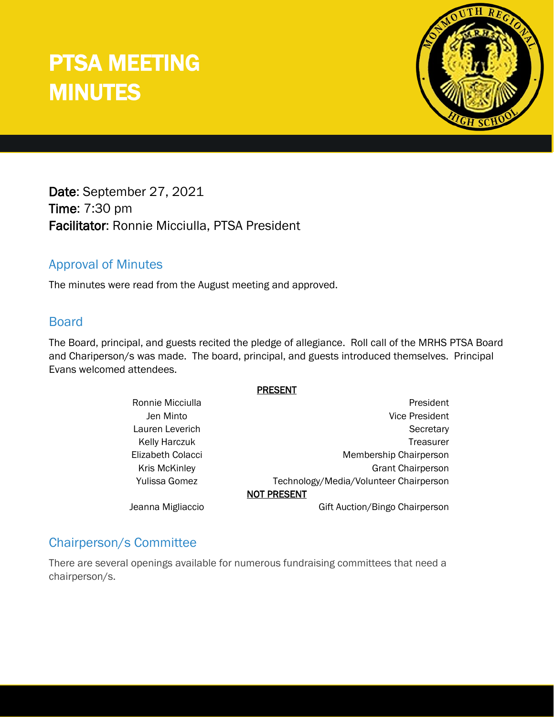# PTSA MEETING MINUTES



Date: September 27, 2021 Time: 7:30 pm Facilitator: Ronnie Micciulla, PTSA President

# Approval of Minutes

The minutes were read from the August meeting and approved.

### Board

The Board, principal, and guests recited the pledge of allegiance. Roll call of the MRHS PTSA Board and Chariperson/s was made. The board, principal, and guests introduced themselves. Principal Evans welcomed attendees.

#### PRESENT

| Ronnie Micciulla     | President                              |
|----------------------|----------------------------------------|
| Jen Minto            | <b>Vice President</b>                  |
| Lauren Leverich      | Secretary                              |
| <b>Kelly Harczuk</b> | Treasurer                              |
| Elizabeth Colacci    | Membership Chairperson                 |
| <b>Kris McKinley</b> | <b>Grant Chairperson</b>               |
| Yulissa Gomez        | Technology/Media/Volunteer Chairperson |
|                      | <b>NOT PRESENT</b>                     |
| Jeanna Migliaccio    | Gift Auction/Bingo Chairperson         |
|                      |                                        |

## Chairperson/s Committee

There are several openings available for numerous fundraising committees that need a chairperson/s.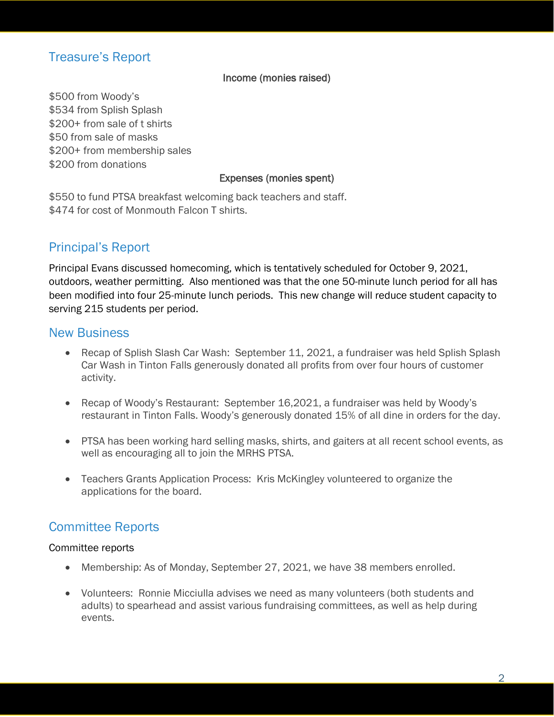# Treasure's Report

#### Income (monies raised)

\$500 from Woody's \$534 from Splish Splash \$200+ from sale of t shirts \$50 from sale of masks \$200+ from membership sales \$200 from donations

#### Expenses (monies spent)

\$550 to fund PTSA breakfast welcoming back teachers and staff. \$474 for cost of Monmouth Falcon T shirts.

## Principal's Report

Principal Evans discussed homecoming, which is tentatively scheduled for October 9, 2021, outdoors, weather permitting. Also mentioned was that the one 50-minute lunch period for all has been modified into four 25-minute lunch periods. This new change will reduce student capacity to serving 215 students per period.

#### New Business

- Recap of Splish Slash Car Wash: September 11, 2021, a fundraiser was held Splish Splash Car Wash in Tinton Falls generously donated all profits from over four hours of customer activity.
- Recap of Woody's Restaurant: September 16,2021, a fundraiser was held by Woody's restaurant in Tinton Falls. Woody's generously donated 15% of all dine in orders for the day.
- PTSA has been working hard selling masks, shirts, and gaiters at all recent school events, as well as encouraging all to join the MRHS PTSA.
- Teachers Grants Application Process: Kris McKingley volunteered to organize the applications for the board.

# Committee Reports

#### Committee reports

- Membership: As of Monday, September 27, 2021, we have 38 members enrolled.
- Volunteers: Ronnie Micciulla advises we need as many volunteers (both students and adults) to spearhead and assist various fundraising committees, as well as help during events.